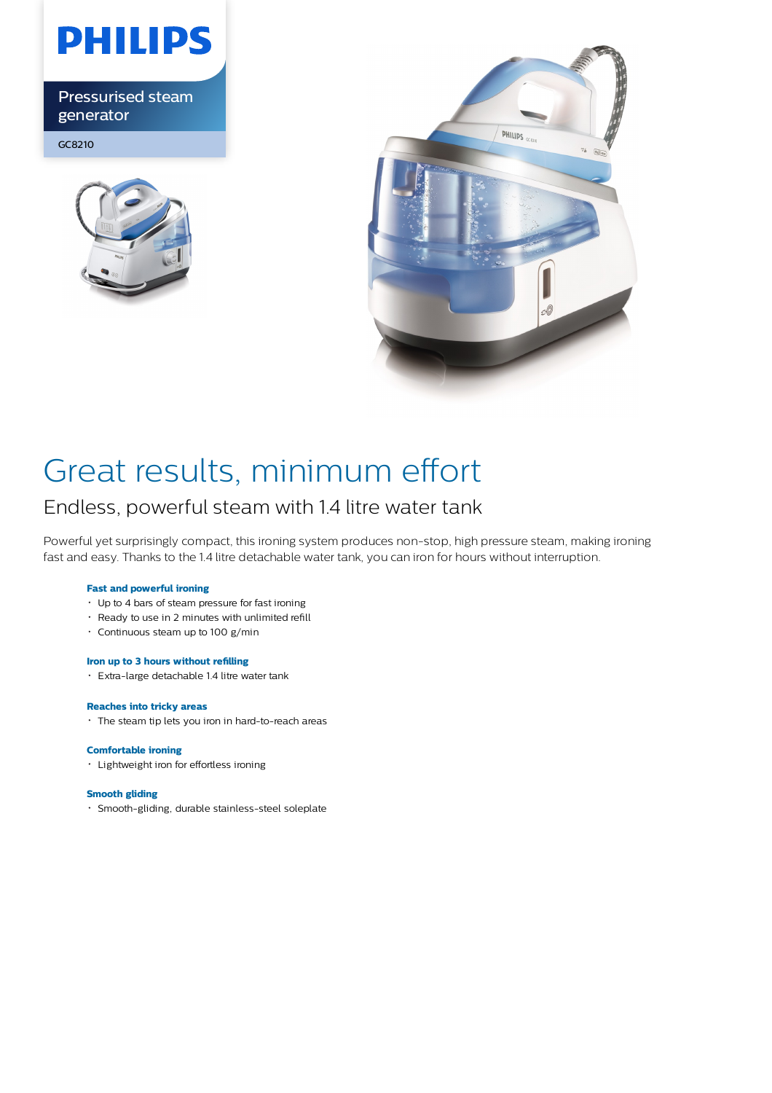

Pressurised steam generator

GC8210





## Great results, minimum effort

### Endless, powerful steam with 1.4 litre water tank

Powerful yet surprisingly compact, this ironing system produces non-stop, high pressure steam, making ironing fast and easy. Thanks to the 1.4 litre detachable water tank, you can iron for hours without interruption.

#### **Fast and powerful ironing**

- Up to 4 bars of steam pressure for fast ironing
- Ready to use in 2 minutes with unlimited refill
- Continuous steam up to 100 g/min

#### **Iron up to 3 hours without refilling**

Extra-large detachable 1.4 litre water tank

#### **Reaches into tricky areas**

The steam tip lets you iron in hard-to-reach areas

#### **Comfortable ironing**

Lightweight iron for effortless ironing

#### **Smooth gliding**

Smooth-gliding, durable stainless-steel soleplate